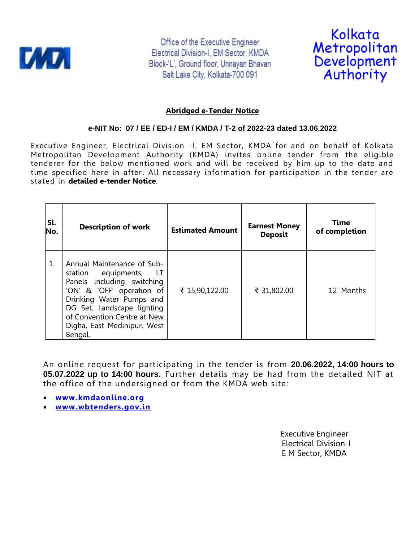

Office of the Executive Engineer Electrical Division-I, EM Sector, KMDA Block-'L', Ground floor, Unnayan Bhavan Salt Lake City, Kolkata-700 091



# **Abridged e-Tender Notice**

# **e-NIT No: 07 / EE / ED-I / EM / KMDA / T-2 of 2022-23 dated 13.06.2022**

Executive Engineer, Electrical Division -I, EM Sector, KMDA for and on behalf of Kolkata Metropolitan Development Authority (KMDA) invites online tender from the eligible tenderer for the below mentioned work and will be received by him up to the date and time specified here in after. All necessary information for participation in the tender are stated in **detailed e-tender Notice**.

| Sl.<br>No. | <b>Description of work</b>                                                                                                                                                                                                                              | <b>Estimated Amount</b> | <b>Earnest Money</b><br><b>Deposit</b> | Time<br>of completion |
|------------|---------------------------------------------------------------------------------------------------------------------------------------------------------------------------------------------------------------------------------------------------------|-------------------------|----------------------------------------|-----------------------|
| 1.         | Annual Maintenance of Sub-<br>station equipments,<br>- LT<br>Panels including switching<br>'ON' & 'OFF' operation of<br>Drinking Water Pumps and<br>DG Set, Landscape lighting<br>of Convention Centre at New<br>Digha, East Medinipur, West<br>Bengal. | ₹ 15,90,122.00          | ₹ 31,802.00                            | 12 Months             |

An online request for participating in the tender is from **20.06.2022, 14:00 hours to 05.07.2022 up to 14:00 hours.** Further details may be had from the detailed NIT at the office of the undersigned or from the KMDA web site:

- **[www.kmdaonline.org](http://www.kmdaonline.org/)**
- **[www.wbtenders.gov.in](http://www.wbtenders.gov.in/)**

 Executive Engineer Electrical Division-I E M Sector, KMDA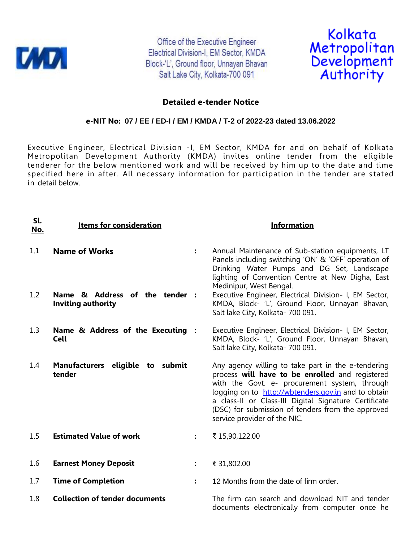

Office of the Executive Engineer Electrical Division-I, EM Sector, KMDA Block-'L', Ground floor, Unnayan Bhavan Salt Lake City, Kolkata-700 091



# **Detailed e-tender Notice**

#### **e-NIT No: 07 / EE / ED-I / EM / KMDA / T-2 of 2022-23 dated 13.06.2022**

Executive Engineer, Electrical Division -I, EM Sector, KMDA for and on behalf of Kolkata Metropolitan Development Authority (KMDA) invites online tender from the eligible tenderer for the below mentioned work and will be received by him up to the date and time specified here in after. All necessary information for participation in the tender are stated in detail below.

| Sl.<br><u>No.</u> | <b>Items for consideration</b>                              |                | <b>Information</b>                                                                                                                                                                                                                                                                                                                                          |
|-------------------|-------------------------------------------------------------|----------------|-------------------------------------------------------------------------------------------------------------------------------------------------------------------------------------------------------------------------------------------------------------------------------------------------------------------------------------------------------------|
| 1.1               | <b>Name of Works</b>                                        | $\ddot{\cdot}$ | Annual Maintenance of Sub-station equipments, LT<br>Panels including switching 'ON' & 'OFF' operation of<br>Drinking Water Pumps and DG Set, Landscape<br>lighting of Convention Centre at New Digha, East<br>Medinipur, West Bengal.                                                                                                                       |
| 1.2               | Name & Address of the tender :<br><b>Inviting authority</b> |                | Executive Engineer, Electrical Division- I, EM Sector,<br>KMDA, Block- 'L', Ground Floor, Unnayan Bhavan,<br>Salt lake City, Kolkata- 700 091.                                                                                                                                                                                                              |
| 1.3               | Name & Address of the Executing :<br><b>Cell</b>            |                | Executive Engineer, Electrical Division- I, EM Sector,<br>KMDA, Block- 'L', Ground Floor, Unnayan Bhavan,<br>Salt lake City, Kolkata- 700 091.                                                                                                                                                                                                              |
| 1.4               | Manufacturers eligible to submit<br>tender                  |                | Any agency willing to take part in the e-tendering<br>process will have to be enrolled and registered<br>with the Govt. e- procurement system, through<br>logging on to http://wbtenders.gov.in and to obtain<br>a class-II or Class-III Digital Signature Certificate<br>(DSC) for submission of tenders from the approved<br>service provider of the NIC. |
| 1.5               | <b>Estimated Value of work</b>                              | $\ddot{\cdot}$ | ₹ 15,90,122.00                                                                                                                                                                                                                                                                                                                                              |
| 1.6               | <b>Earnest Money Deposit</b>                                | $\ddot{\cdot}$ | ₹ 31,802.00                                                                                                                                                                                                                                                                                                                                                 |
| 1.7               | <b>Time of Completion</b>                                   | $\ddot{\cdot}$ | 12 Months from the date of firm order.                                                                                                                                                                                                                                                                                                                      |
| 1.8               | <b>Collection of tender documents</b>                       |                | The firm can search and download NIT and tender<br>documents electronically from computer once he                                                                                                                                                                                                                                                           |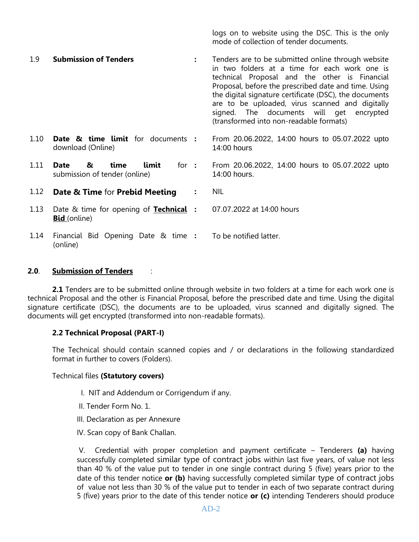logs on to website using the DSC. This is the only mode of collection of tender documents.

| 1.9  | <b>Submission of Tenders</b>                                           |   | Tenders are to be submitted online through website<br>in two folders at a time for each work one is<br>technical Proposal and the other is Financial<br>Proposal, before the prescribed date and time. Using<br>the digital signature certificate (DSC), the documents<br>are to be uploaded, virus scanned and digitally<br>signed. The documents will get encrypted<br>(transformed into non-readable formats) |
|------|------------------------------------------------------------------------|---|------------------------------------------------------------------------------------------------------------------------------------------------------------------------------------------------------------------------------------------------------------------------------------------------------------------------------------------------------------------------------------------------------------------|
| 1.10 | <b>Date &amp; time limit</b> for documents :<br>download (Online)      |   | From 20.06.2022, 14:00 hours to 05.07.2022 upto<br>14:00 hours                                                                                                                                                                                                                                                                                                                                                   |
| 1.11 | time<br>limit<br>Date<br>&<br>for $:$<br>submission of tender (online) |   | From 20.06.2022, 14:00 hours to 05.07.2022 upto<br>14:00 hours.                                                                                                                                                                                                                                                                                                                                                  |
| 1.12 | <b>Date &amp; Time for Prebid Meeting</b>                              | : | <b>NIL</b>                                                                                                                                                                                                                                                                                                                                                                                                       |
| 1.13 | Date & time for opening of <b>Technical</b> :<br><b>Bid</b> (online)   |   | 07.07.2022 at 14:00 hours                                                                                                                                                                                                                                                                                                                                                                                        |
| 1.14 | Financial Bid Opening Date & time :<br>(online)                        |   | To be notified latter.                                                                                                                                                                                                                                                                                                                                                                                           |

## **2.0**. **Submission of Tenders** :

**2.1** Tenders are to be submitted online through website in two folders at a time for each work one is technical Proposal and the other is Financial Proposal, before the prescribed date and time. Using the digital signature certificate (DSC), the documents are to be uploaded, virus scanned and digitally signed. The documents will get encrypted (transformed into non-readable formats).

## **2.2 Technical Proposal (PART-I)**

The Technical should contain scanned copies and / or declarations in the following standardized format in further to covers (Folders).

#### Technical files **(Statutory covers)**

- I. NIT and Addendum or Corrigendum if any.
- II. Tender Form No. 1.
- III. Declaration as per Annexure
- IV. Scan copy of Bank Challan.

V. Credential with proper completion and payment certificate – Tenderers **(a)** having successfully completed similar type of contract jobs within last five years, of value not less than 40 % of the value put to tender in one single contract during 5 (five) years prior to the date of this tender notice **or (b)** having successfully completed similar type of contract jobs of value not less than 30 % of the value put to tender in each of two separate contract during 5 (five) years prior to the date of this tender notice **or (c)** intending Tenderers should produce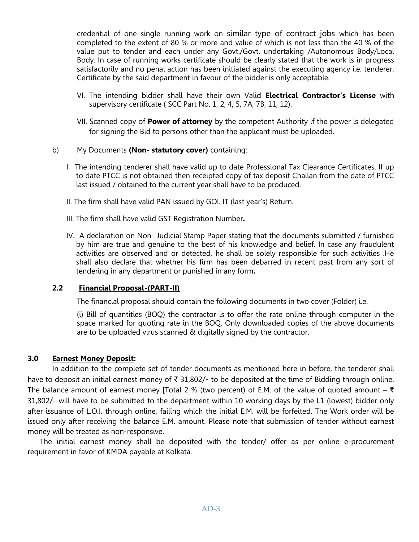credential of one single running work on similar type of contract jobs which has been completed to the extent of 80 % or more and value of which is not less than the 40 % of the value put to tender and each under any Govt./Govt. undertaking /Autonomous Body/Local Body. In case of running works certificate should be clearly stated that the work is in progress satisfactorily and no penal action has been initiated against the executing agency i.e. tenderer. Certificate by the said department in favour of the bidder is only acceptable.

- VI. The intending bidder shall have their own Valid **Electrical Contractor's License** with supervisory certificate ( SCC Part No. 1, 2, 4, 5, 7A, 7B, 11, 12).
- VII. Scanned copy of **Power of attorney** by the competent Authority if the power is delegated for signing the Bid to persons other than the applicant must be uploaded.
- b) My Documents **(Non- statutory cover)** containing:
	- I. The intending tenderer shall have valid up to date Professional Tax Clearance Certificates. If up to date PTCC is not obtained then receipted copy of tax deposit Challan from the date of PTCC last issued / obtained to the current year shall have to be produced.
	- II. The firm shall have valid PAN issued by GOI. IT (last year's) Return.
	- III. The firm shall have valid GST Registration Number**.**
	- IV. A declaration on Non- Judicial Stamp Paper stating that the documents submitted / furnished by him are true and genuine to the best of his knowledge and belief. In case any fraudulent activities are observed and or detected, he shall be solely responsible for such activities .He shall also declare that whether his firm has been debarred in recent past from any sort of tendering in any department or punished in any form**.**

# **2.2 Financial Proposal-(PART-II)**

The financial proposal should contain the following documents in two cover (Folder) i.e.

(i) Bill of quantities (BOQ) the contractor is to offer the rate online through computer in the space marked for quoting rate in the BOQ. Only downloaded copies of the above documents are to be uploaded virus scanned & digitally signed by the contractor.

# **3.0 Earnest Money Deposit:**

In addition to the complete set of tender documents as mentioned here in before, the tenderer shall have to deposit an initial earnest money of ₹ 31,802/- to be deposited at the time of Bidding through online. The balance amount of earnest money [Total 2 % (two percent) of E.M. of the value of quoted amount –  $\bar{\xi}$ 31,802/- will have to be submitted to the department within 10 working days by the L1 (lowest) bidder only after issuance of L.O.I. through online, failing which the initial E.M. will be forfeited. The Work order will be issued only after receiving the balance E.M. amount. Please note that submission of tender without earnest money will be treated as non-responsive.

The initial earnest money shall be deposited with the tender/ offer as per online e-procurement requirement in favor of KMDA payable at Kolkata.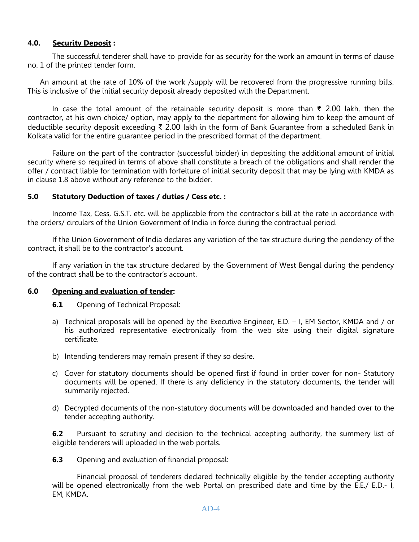# **4.0. Security Deposit :**

The successful tenderer shall have to provide for as security for the work an amount in terms of clause no. 1 of the printed tender form.

An amount at the rate of 10% of the work /supply will be recovered from the progressive running bills. This is inclusive of the initial security deposit already deposited with the Department.

In case the total amount of the retainable security deposit is more than ₹ 2.00 lakh, then the contractor, at his own choice/ option, may apply to the department for allowing him to keep the amount of deductible security deposit exceeding ₹ 2.00 lakh in the form of Bank Guarantee from a scheduled Bank in Kolkata valid for the entire guarantee period in the prescribed format of the department.

Failure on the part of the contractor (successful bidder) in depositing the additional amount of initial security where so required in terms of above shall constitute a breach of the obligations and shall render the offer / contract liable for termination with forfeiture of initial security deposit that may be lying with KMDA as in clause 1.8 above without any reference to the bidder.

## **5.0 Statutory Deduction of taxes / duties / Cess etc. :**

Income Tax, Cess, G.S.T. etc. will be applicable from the contractor's bill at the rate in accordance with the orders/ circulars of the Union Government of India in force during the contractual period.

If the Union Government of India declares any variation of the tax structure during the pendency of the contract, it shall be to the contractor's account.

If any variation in the tax structure declared by the Government of West Bengal during the pendency of the contract shall be to the contractor's account.

## **6.0 Opening and evaluation of tender:**

**6.1** Opening of Technical Proposal:

- a) Technical proposals will be opened by the Executive Engineer, E.D. I, EM Sector, KMDA and / or his authorized representative electronically from the web site using their digital signature certificate.
- b) Intending tenderers may remain present if they so desire.
- c) Cover for statutory documents should be opened first if found in order cover for non- Statutory documents will be opened. If there is any deficiency in the statutory documents, the tender will summarily rejected.
- d) Decrypted documents of the non-statutory documents will be downloaded and handed over to the tender accepting authority.

**6.2** Pursuant to scrutiny and decision to the technical accepting authority, the summery list of eligible tenderers will uploaded in the web portals.

**6.3** Opening and evaluation of financial proposal:

Financial proposal of tenderers declared technically eligible by the tender accepting authority will be opened electronically from the web Portal on prescribed date and time by the E.E./ E.D.- I, EM, KMDA.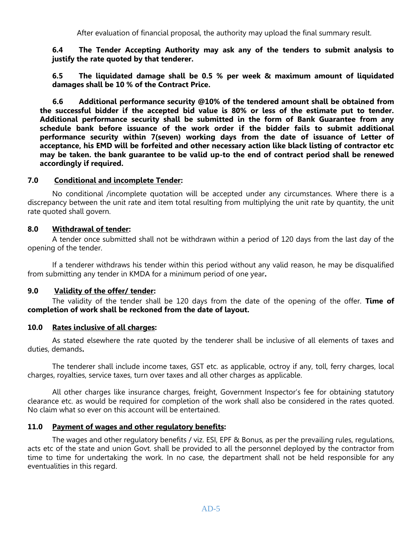After evaluation of financial proposal, the authority may upload the final summary result.

**6.4 The Tender Accepting Authority may ask any of the tenders to submit analysis to justify the rate quoted by that tenderer.**

**6.5 The liquidated damage shall be 0.5 % per week & maximum amount of liquidated damages shall be 10 % of the Contract Price.**

 **6.6 Additional performance security @10% of the tendered amount shall be obtained from the successful bidder if the accepted bid value is 80% or less of the estimate put to tender. Additional performance security shall be submitted in the form of Bank Guarantee from any schedule bank before issuance of the work order if the bidder fails to submit additional performance security within 7(seven) working days from the date of issuance of Letter of acceptance, his EMD will be forfeited and other necessary action like black listing of contractor etc may be taken. the bank guarantee to be valid up-to the end of contract period shall be renewed accordingly if required.**

#### **7.0 Conditional and incomplete Tender:**

No conditional /incomplete quotation will be accepted under any circumstances. Where there is a discrepancy between the unit rate and item total resulting from multiplying the unit rate by quantity, the unit rate quoted shall govern.

## **8.0 Withdrawal of tender:**

A tender once submitted shall not be withdrawn within a period of 120 days from the last day of the opening of the tender.

If a tenderer withdraws his tender within this period without any valid reason, he may be disqualified from submitting any tender in KMDA for a minimum period of one year**.**

## **9.0 Validity of the offer/ tender:**

The validity of the tender shall be 120 days from the date of the opening of the offer. **Time of completion of work shall be reckoned from the date of layout.**

#### **10.0 Rates inclusive of all charges:**

As stated elsewhere the rate quoted by the tenderer shall be inclusive of all elements of taxes and duties, demands**.**

The tenderer shall include income taxes, GST etc. as applicable, octroy if any, toll, ferry charges, local charges, royalties, service taxes, turn over taxes and all other charges as applicable.

All other charges like insurance charges, freight, Government Inspector's fee for obtaining statutory clearance etc. as would be required for completion of the work shall also be considered in the rates quoted. No claim what so ever on this account will be entertained.

## **11.0 Payment of wages and other regulatory benefits:**

The wages and other regulatory benefits / viz. ESI, EPF & Bonus, as per the prevailing rules, regulations, acts etc of the state and union Govt. shall be provided to all the personnel deployed by the contractor from time to time for undertaking the work. In no case, the department shall not be held responsible for any eventualities in this regard.